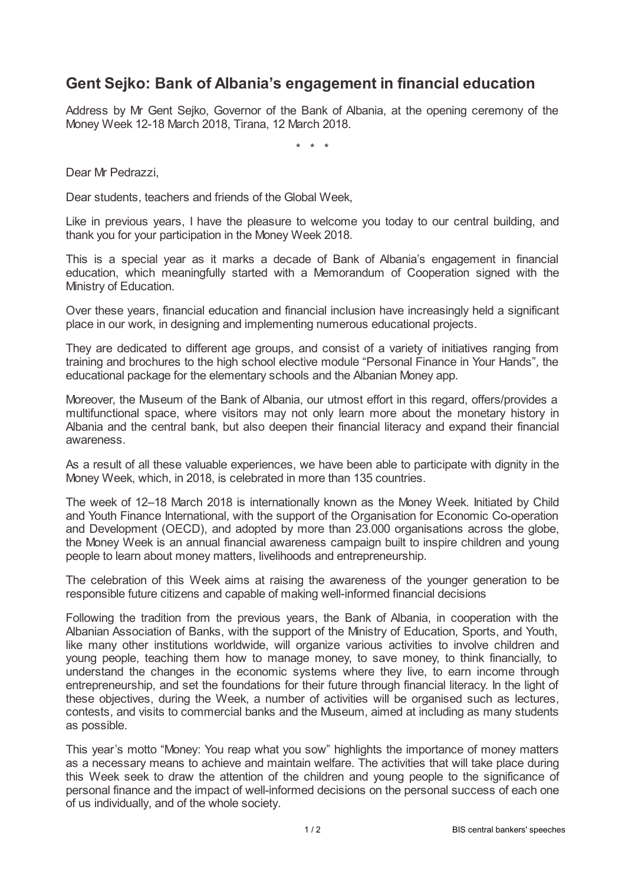## **Gent Sejko: Bank of Albania's engagement in financial education**

Address by Mr Gent Sejko, Governor of the Bank of Albania, at the opening ceremony of the Money Week 12-18 March 2018, Tirana, 12 March 2018.

\* \* \*

Dear Mr Pedrazzi,

Dear students, teachers and friends of the Global Week,

Like in previous years, I have the pleasure to welcome you today to our central building, and thank you for your participation in the Money Week 2018.

This is a special year as it marks a decade of Bank of Albania's engagement in financial education, which meaningfully started with a Memorandum of Cooperation signed with the Ministry of Education.

Over these years, financial education and financial inclusion have increasingly held a significant place in our work, in designing and implementing numerous educational projects.

They are dedicated to different age groups, and consist of a variety of initiatives ranging from training and brochures to the high school elective module "Personal Finance in Your Hands", the educational package for the elementary schools and the Albanian Money app.

Moreover, the Museum of the Bank of Albania, our utmost effort in this regard, offers/provides a multifunctional space, where visitors may not only learn more about the monetary history in Albania and the central bank, but also deepen their financial literacy and expand their financial awareness.

As a result of all these valuable experiences, we have been able to participate with dignity in the Money Week, which, in 2018, is celebrated in more than 135 countries.

The week of 12–18 March 2018 is internationally known as the Money Week. Initiated by Child and Youth Finance International, with the support of the Organisation for Economic Co-operation and Development (OECD), and adopted by more than 23.000 organisations across the globe, the Money Week is an annual financial awareness campaign built to inspire children and young people to learn about money matters, livelihoods and entrepreneurship.

The celebration of this Week aims at raising the awareness of the younger generation to be responsible future citizens and capable of making well-informed financial decisions

Following the tradition from the previous years, the Bank of Albania, in cooperation with the Albanian Association of Banks, with the support of the Ministry of Education, Sports, and Youth, like many other institutions worldwide, will organize various activities to involve children and young people, teaching them how to manage money, to save money, to think financially, to understand the changes in the economic systems where they live, to earn income through entrepreneurship, and set the foundations for their future through financial literacy. In the light of these objectives, during the Week, a number of activities will be organised such as lectures, contests, and visits to commercial banks and the Museum, aimed at including as many students as possible.

This year's motto "Money: You reap what you sow" highlights the importance of money matters as a necessary means to achieve and maintain welfare. The activities that will take place during this Week seek to draw the attention of the children and young people to the significance of personal finance and the impact of well-informed decisions on the personal success of each one of us individually, and of the whole society.